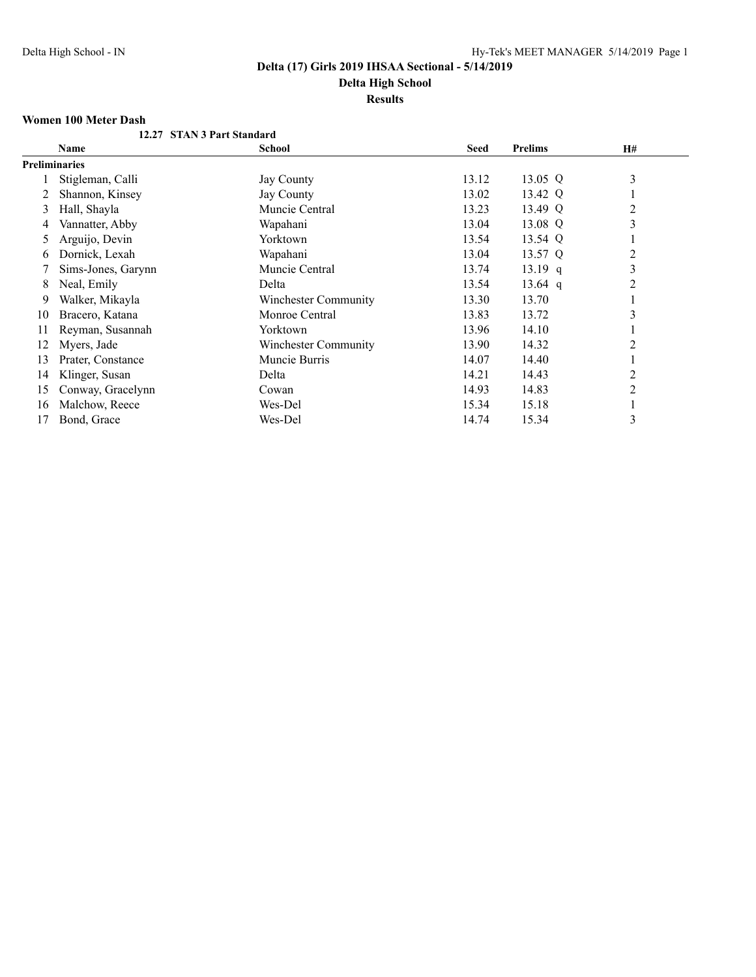**Delta High School**

# **Results**

## **Women 100 Meter Dash**

|    | 12.27 STAN 3 Part Standard |                             |             |                |                |
|----|----------------------------|-----------------------------|-------------|----------------|----------------|
|    | Name                       | <b>School</b>               | <b>Seed</b> | <b>Prelims</b> | H#             |
|    | <b>Preliminaries</b>       |                             |             |                |                |
|    | Stigleman, Calli           | Jay County                  | 13.12       | 13.05 $Q$      | 3              |
|    | Shannon, Kinsey            | Jay County                  | 13.02       | 13.42 Q        |                |
| 3  | Hall, Shayla               | Muncie Central              | 13.23       | 13.49 Q        | 2              |
| 4  | Vannatter, Abby            | Wapahani                    | 13.04       | 13.08 Q        | 3              |
| 5  | Arguijo, Devin             | Yorktown                    | 13.54       | 13.54 Q        |                |
| b  | Dornick, Lexah             | Wapahani                    | 13.04       | 13.57 Q        | 2              |
|    | Sims-Jones, Garynn         | Muncie Central              | 13.74       | $13.19$ q      | 3              |
| 8  | Neal, Emily                | Delta                       | 13.54       | $13.64$ q      | 2              |
| 9. | Walker, Mikayla            | <b>Winchester Community</b> | 13.30       | 13.70          |                |
| 10 | Bracero, Katana            | Monroe Central              | 13.83       | 13.72          | 3              |
| 11 | Reyman, Susannah           | Yorktown                    | 13.96       | 14.10          |                |
| 12 | Myers, Jade                | <b>Winchester Community</b> | 13.90       | 14.32          | $\overline{c}$ |
| 13 | Prater, Constance          | Muncie Burris               | 14.07       | 14.40          |                |
| 14 | Klinger, Susan             | Delta                       | 14.21       | 14.43          | 2              |
| 15 | Conway, Gracelynn          | Cowan                       | 14.93       | 14.83          | 2              |
| 16 | Malchow, Reece             | Wes-Del                     | 15.34       | 15.18          |                |
| 17 | Bond, Grace                | Wes-Del                     | 14.74       | 15.34          | 3              |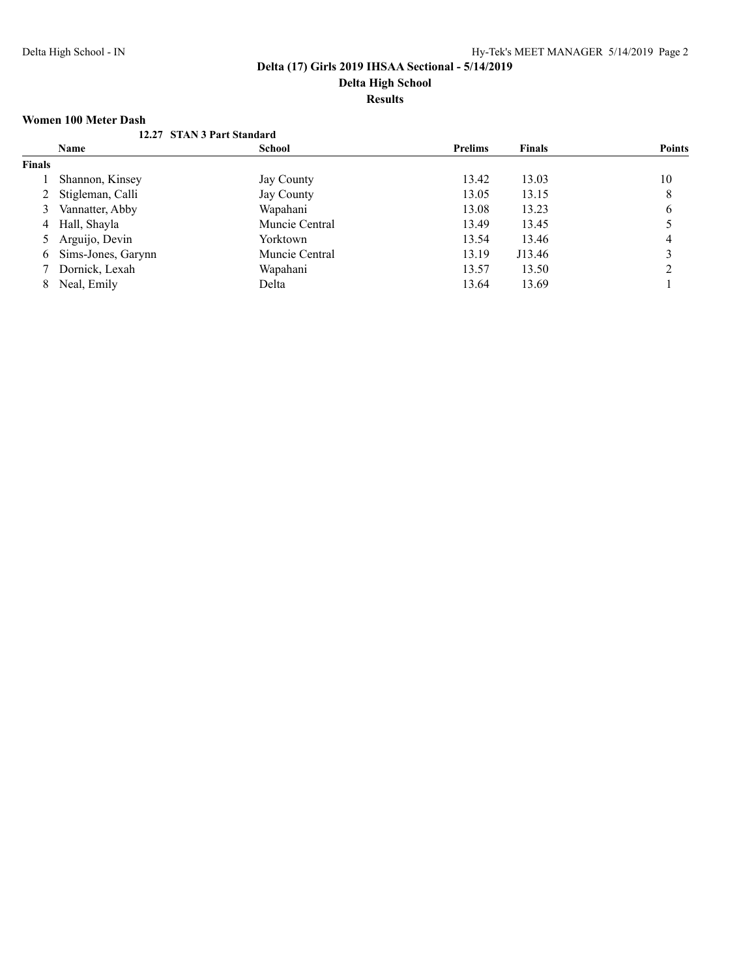# **Results**

### **Women 100 Meter Dash**

|               | womch too witter <i>bash</i> |                            |                |               |               |
|---------------|------------------------------|----------------------------|----------------|---------------|---------------|
|               |                              | 12.27 STAN 3 Part Standard |                |               |               |
|               | Name                         | <b>School</b>              | <b>Prelims</b> | <b>Finals</b> | <b>Points</b> |
| <b>Finals</b> |                              |                            |                |               |               |
|               | Shannon, Kinsey              | Jay County                 | 13.42          | 13.03         | 10            |
|               | 2 Stigleman, Calli           | Jay County                 | 13.05          | 13.15         | 8             |
| 3             | Vannatter, Abby              | Wapahani                   | 13.08          | 13.23         | 6             |
|               | 4 Hall, Shayla               | Muncie Central             | 13.49          | 13.45         |               |
|               | 5 Arguijo, Devin             | Yorktown                   | 13.54          | 13.46         | 4             |
| 6             | Sims-Jones, Garynn           | Muncie Central             | 13.19          | J13.46        |               |
|               | 7 Dornick, Lexah             | Wapahani                   | 13.57          | 13.50         |               |
| 8             | Neal, Emily                  | Delta                      | 13.64          | 13.69         |               |
|               |                              |                            |                |               |               |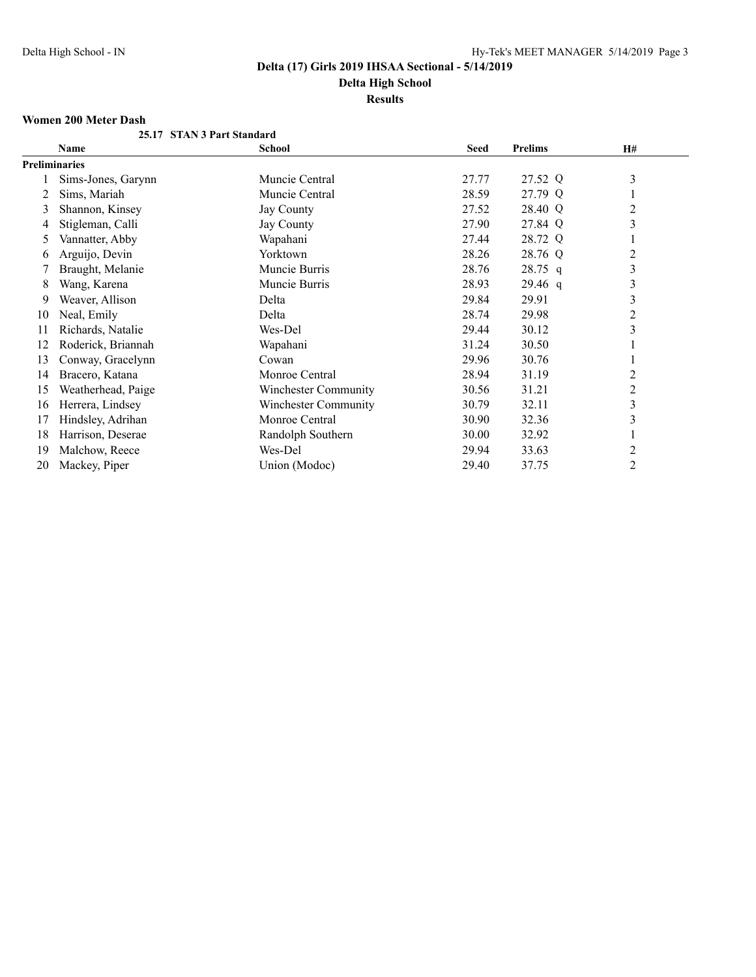**Delta High School**

**Results**

### **Women 200 Meter Dash**

|    | 25.17 STAN 3 Part Standard |                      |             |                |                |
|----|----------------------------|----------------------|-------------|----------------|----------------|
|    | Name                       | School               | <b>Seed</b> | <b>Prelims</b> | H#             |
|    | <b>Preliminaries</b>       |                      |             |                |                |
|    | Sims-Jones, Garynn         | Muncie Central       | 27.77       | 27.52 Q        | $\mathfrak{Z}$ |
|    | Sims, Mariah               | Muncie Central       | 28.59       | 27.79 Q        |                |
| 3  | Shannon, Kinsey            | Jay County           | 27.52       | 28.40 Q        | 2              |
| 4  | Stigleman, Calli           | Jay County           | 27.90       | 27.84 Q        | 3              |
| 5  | Vannatter, Abby            | Wapahani             | 27.44       | 28.72 Q        |                |
| 6  | Arguijo, Devin             | Yorktown             | 28.26       | 28.76 Q        | $\overline{c}$ |
|    | Braught, Melanie           | Muncie Burris        | 28.76       | 28.75 q        | $\mathfrak{Z}$ |
| 8  | Wang, Karena               | Muncie Burris        | 28.93       | $29.46$ q      | 3              |
| 9  | Weaver, Allison            | Delta                | 29.84       | 29.91          | 3              |
| 10 | Neal, Emily                | Delta                | 28.74       | 29.98          | $\overline{2}$ |
| 11 | Richards, Natalie          | Wes-Del              | 29.44       | 30.12          | 3              |
| 12 | Roderick, Briannah         | Wapahani             | 31.24       | 30.50          |                |
| 13 | Conway, Gracelynn          | Cowan                | 29.96       | 30.76          |                |
| 14 | Bracero, Katana            | Monroe Central       | 28.94       | 31.19          | $\overline{2}$ |
| 15 | Weatherhead, Paige         | Winchester Community | 30.56       | 31.21          | 2              |
| 16 | Herrera, Lindsey           | Winchester Community | 30.79       | 32.11          | $\mathfrak{Z}$ |
| 17 | Hindsley, Adrihan          | Monroe Central       | 30.90       | 32.36          | 3              |
| 18 | Harrison, Deserae          | Randolph Southern    | 30.00       | 32.92          |                |
| 19 | Malchow, Reece             | Wes-Del              | 29.94       | 33.63          | $\overline{2}$ |
| 20 | Mackey, Piper              | Union (Modoc)        | 29.40       | 37.75          | $\overline{2}$ |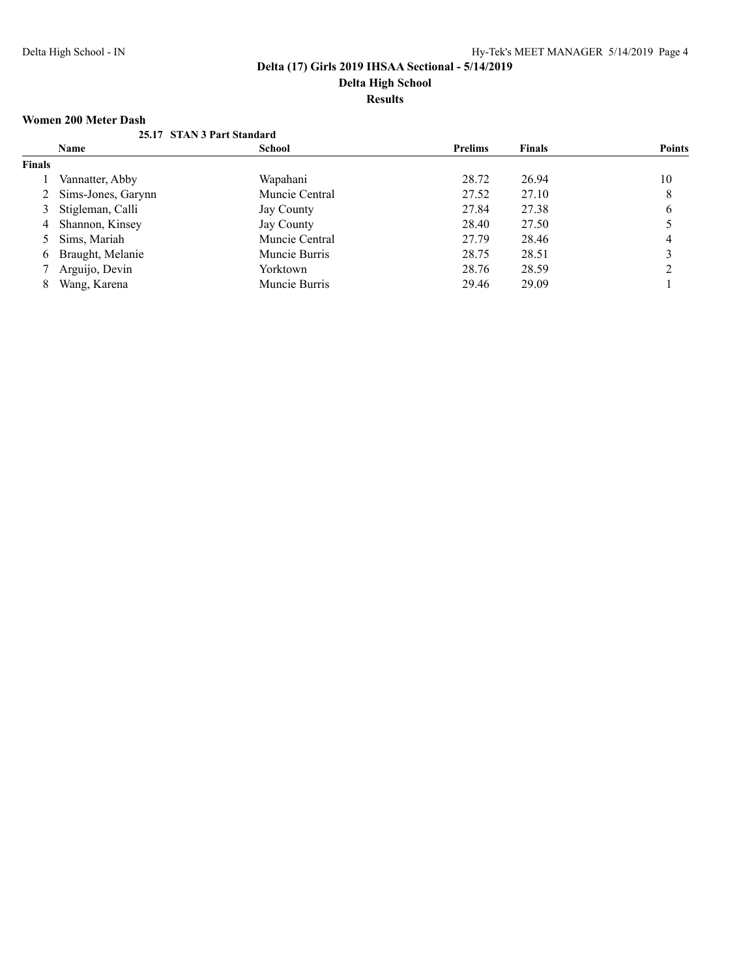## **Results**

## **Women 200 Meter Dash**

|               |                      | 25.17 STAN 3 Part Standard |                |               |               |
|---------------|----------------------|----------------------------|----------------|---------------|---------------|
|               | <b>Name</b>          | <b>School</b>              | <b>Prelims</b> | <b>Finals</b> | <b>Points</b> |
| <b>Finals</b> |                      |                            |                |               |               |
|               | Vannatter, Abby      | Wapahani                   | 28.72          | 26.94         | 10            |
|               | 2 Sims-Jones, Garynn | Muncie Central             | 27.52          | 27.10         | 8             |
|               | 3 Stigleman, Calli   | Jay County                 | 27.84          | 27.38         | 6             |
|               | 4 Shannon, Kinsey    | Jay County                 | 28.40          | 27.50         |               |
|               | 5 Sims, Mariah       | Muncie Central             | 27.79          | 28.46         | 4             |
| 6             | Braught, Melanie     | Muncie Burris              | 28.75          | 28.51         |               |
|               | 7 Arguijo, Devin     | Yorktown                   | 28.76          | 28.59         |               |
| 8             | Wang, Karena         | Muncie Burris              | 29.46          | 29.09         |               |
|               |                      |                            |                |               |               |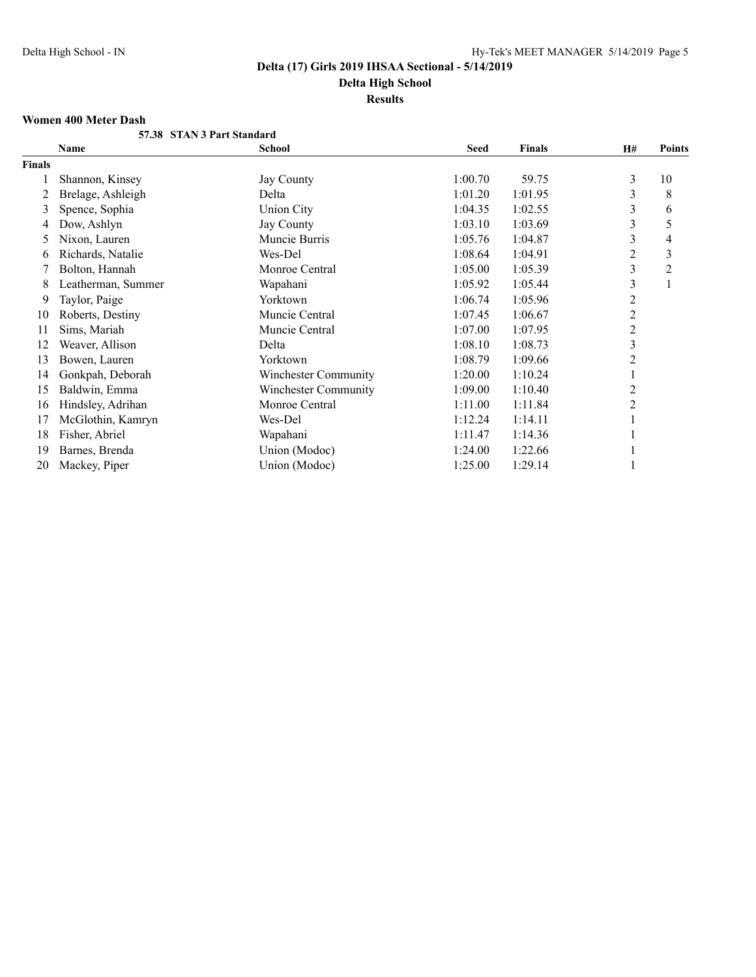**Results**

#### **Women 400 Meter Dash**

|        | 57.38 STAN 3 Part Standard |                             |             |               |                |                |
|--------|----------------------------|-----------------------------|-------------|---------------|----------------|----------------|
|        | Name                       | <b>School</b>               | <b>Seed</b> | <b>Finals</b> | <b>H#</b>      | Points         |
| Finals |                            |                             |             |               |                |                |
|        | Shannon, Kinsey            | Jay County                  | 1:00.70     | 59.75         | 3              | 10             |
| 2      | Brelage, Ashleigh          | Delta                       | 1:01.20     | 1:01.95       | 3              | 8              |
| 3      | Spence, Sophia             | <b>Union City</b>           | 1:04.35     | 1:02.55       | 3              | 6              |
| 4      | Dow, Ashlyn                | Jay County                  | 1:03.10     | 1:03.69       | 3              | 5              |
| 5      | Nixon, Lauren              | Muncie Burris               | 1:05.76     | 1:04.87       | 3              | 4              |
| 6      | Richards, Natalie          | Wes-Del                     | 1:08.64     | 1:04.91       | 2              | 3              |
|        | Bolton, Hannah             | Monroe Central              | 1:05.00     | 1:05.39       | 3              | $\overline{2}$ |
| 8      | Leatherman, Summer         | Wapahani                    | 1:05.92     | 1:05.44       | 3              |                |
| 9      | Taylor, Paige              | Yorktown                    | 1:06.74     | 1:05.96       | 2              |                |
| 10     | Roberts, Destiny           | Muncie Central              | 1:07.45     | 1:06.67       | 2              |                |
| 11     | Sims, Mariah               | Muncie Central              | 1:07.00     | 1:07.95       | $\overline{c}$ |                |
| 12     | Weaver, Allison            | Delta                       | 1:08.10     | 1:08.73       | $\mathfrak{Z}$ |                |
| 13     | Bowen, Lauren              | Yorktown                    | 1:08.79     | 1:09.66       | 2              |                |
| 14     | Gonkpah, Deborah           | <b>Winchester Community</b> | 1:20.00     | 1:10.24       |                |                |
| 15     | Baldwin, Emma              | Winchester Community        | 1:09.00     | 1:10.40       | 2              |                |
| 16     | Hindsley, Adrihan          | Monroe Central              | 1:11.00     | 1:11.84       | 2              |                |
| 17     | McGlothin, Kamryn          | Wes-Del                     | 1:12.24     | 1:14.11       |                |                |
| 18     | Fisher, Abriel             | Wapahani                    | 1:11.47     | 1:14.36       |                |                |
| 19     | Barnes, Brenda             | Union (Modoc)               | 1:24.00     | 1:22.66       |                |                |
| 20     | Mackey, Piper              | Union (Modoc)               | 1:25.00     | 1:29.14       |                |                |
|        |                            |                             |             |               |                |                |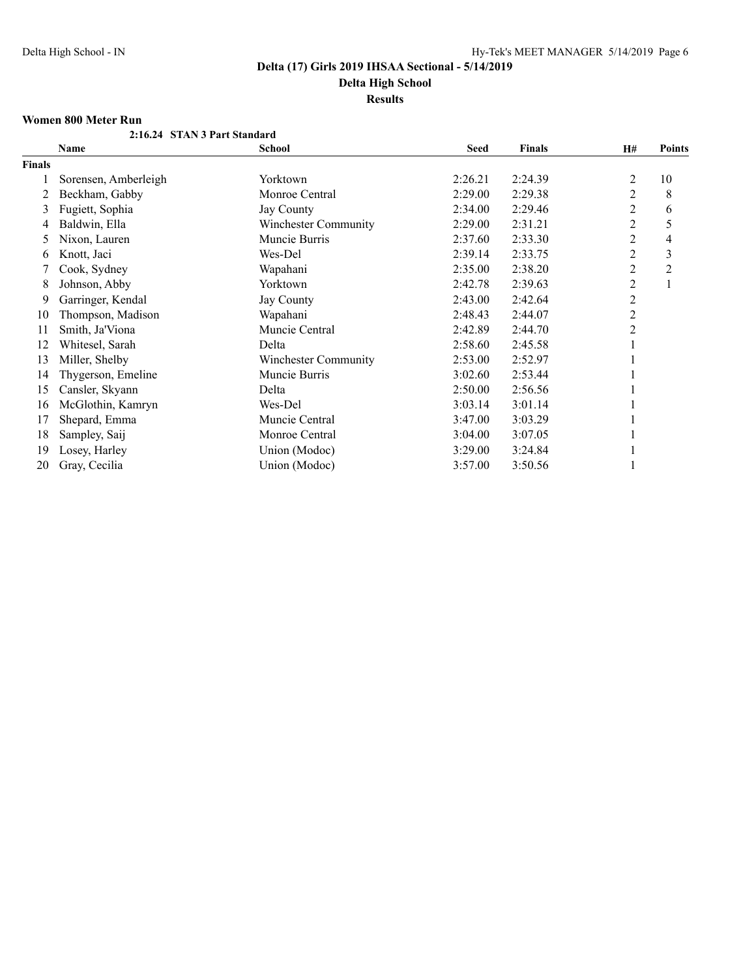**Delta High School**

**Results**

## **Women 800 Meter Run**

|               | 2:16.24 STAN 3 Part Standard |                             |             |               |                |                |
|---------------|------------------------------|-----------------------------|-------------|---------------|----------------|----------------|
|               | <b>Name</b>                  | <b>School</b>               | <b>Seed</b> | <b>Finals</b> | <b>H#</b>      | <b>Points</b>  |
| <b>Finals</b> |                              |                             |             |               |                |                |
|               | Sorensen, Amberleigh         | Yorktown                    | 2:26.21     | 2:24.39       | 2              | 10             |
|               | Beckham, Gabby               | Monroe Central              | 2:29.00     | 2:29.38       | 2              | 8              |
| 3             | Fugiett, Sophia              | Jay County                  | 2:34.00     | 2:29.46       | 2              | 6              |
| 4             | Baldwin, Ella                | Winchester Community        | 2:29.00     | 2:31.21       | 2              | 5              |
| 5             | Nixon, Lauren                | Muncie Burris               | 2:37.60     | 2:33.30       | 2              | 4              |
| 6             | Knott, Jaci                  | Wes-Del                     | 2:39.14     | 2:33.75       | 2              | 3              |
|               | Cook, Sydney                 | Wapahani                    | 2:35.00     | 2:38.20       | $\overline{c}$ | $\overline{2}$ |
| 8             | Johnson, Abby                | Yorktown                    | 2:42.78     | 2:39.63       | 2              |                |
| 9             | Garringer, Kendal            | Jay County                  | 2:43.00     | 2:42.64       | 2              |                |
| 10            | Thompson, Madison            | Wapahani                    | 2:48.43     | 2:44.07       | $\overline{c}$ |                |
| 11            | Smith, Ja'Viona              | Muncie Central              | 2:42.89     | 2:44.70       | $\overline{2}$ |                |
| 12            | Whitesel, Sarah              | Delta                       | 2:58.60     | 2:45.58       |                |                |
| 13            | Miller, Shelby               | <b>Winchester Community</b> | 2:53.00     | 2:52.97       |                |                |
| 14            | Thygerson, Emeline           | Muncie Burris               | 3:02.60     | 2:53.44       |                |                |
| 15            | Cansler, Skyann              | Delta                       | 2:50.00     | 2:56.56       |                |                |
| 16            | McGlothin, Kamryn            | Wes-Del                     | 3:03.14     | 3:01.14       |                |                |
| 17            | Shepard, Emma                | Muncie Central              | 3:47.00     | 3:03.29       |                |                |
| 18            | Sampley, Saij                | Monroe Central              | 3:04.00     | 3:07.05       |                |                |
| 19            | Losey, Harley                | Union (Modoc)               | 3:29.00     | 3:24.84       |                |                |
| 20            | Gray, Cecilia                | Union (Modoc)               | 3:57.00     | 3:50.56       |                |                |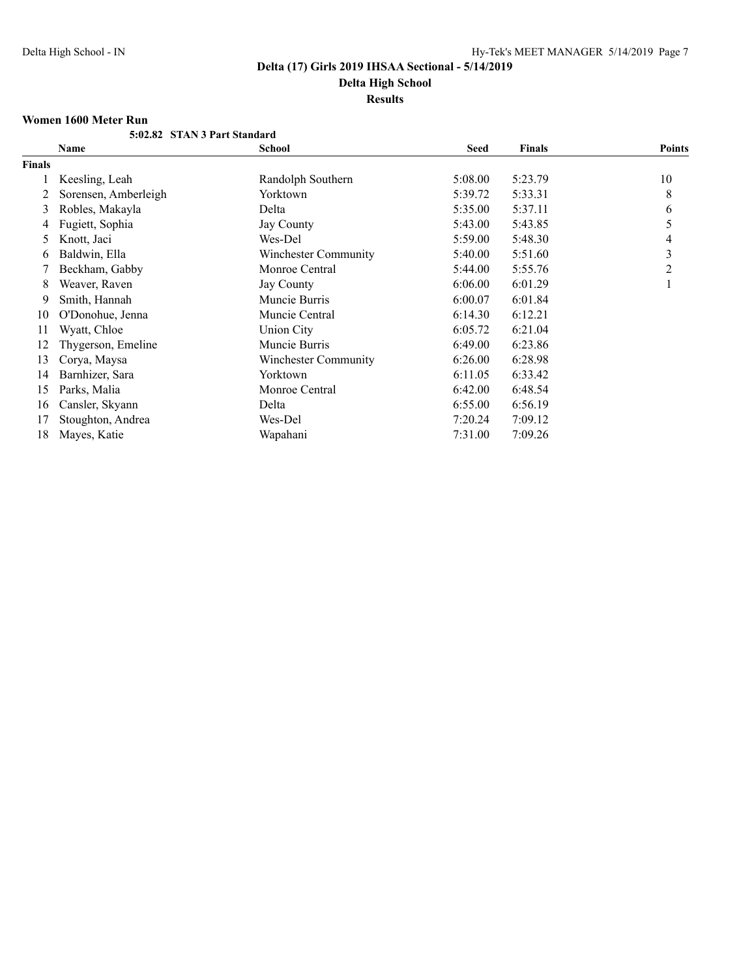**Results**

#### **Women 1600 Meter Run**

|               | 5:02.82 STAN 3 Part Standard |                             |             |               |               |
|---------------|------------------------------|-----------------------------|-------------|---------------|---------------|
|               | Name                         | School                      | <b>Seed</b> | <b>Finals</b> | <b>Points</b> |
| <b>Finals</b> |                              |                             |             |               |               |
|               | Keesling, Leah               | Randolph Southern           | 5:08.00     | 5:23.79       | 10            |
|               | Sorensen, Amberleigh         | Yorktown                    | 5:39.72     | 5:33.31       | 8             |
| 3             | Robles, Makayla              | Delta                       | 5:35.00     | 5:37.11       | 6             |
| 4             | Fugiett, Sophia              | <b>Jay County</b>           | 5:43.00     | 5:43.85       | 5             |
| 5             | Knott, Jaci                  | Wes-Del                     | 5:59.00     | 5:48.30       | 4             |
| 6             | Baldwin, Ella                | <b>Winchester Community</b> | 5:40.00     | 5:51.60       | 3             |
|               | Beckham, Gabby               | Monroe Central              | 5:44.00     | 5:55.76       | 2             |
| 8             | Weaver, Raven                | <b>Jay County</b>           | 6:06.00     | 6:01.29       |               |
| 9             | Smith, Hannah                | Muncie Burris               | 6:00.07     | 6:01.84       |               |
| 10            | O'Donohue, Jenna             | Muncie Central              | 6:14.30     | 6:12.21       |               |
| 11            | Wyatt, Chloe                 | Union City                  | 6:05.72     | 6:21.04       |               |
| 12            | Thygerson, Emeline           | Muncie Burris               | 6:49.00     | 6:23.86       |               |
| 13            | Corya, Maysa                 | Winchester Community        | 6:26.00     | 6:28.98       |               |
| 14            | Barnhizer, Sara              | Yorktown                    | 6:11.05     | 6:33.42       |               |
| 15            | Parks, Malia                 | Monroe Central              | 6:42.00     | 6:48.54       |               |
| 16            | Cansler, Skyann              | Delta                       | 6:55.00     | 6:56.19       |               |
| 17            | Stoughton, Andrea            | Wes-Del                     | 7:20.24     | 7:09.12       |               |
| 18            | Mayes, Katie                 | Wapahani                    | 7:31.00     | 7:09.26       |               |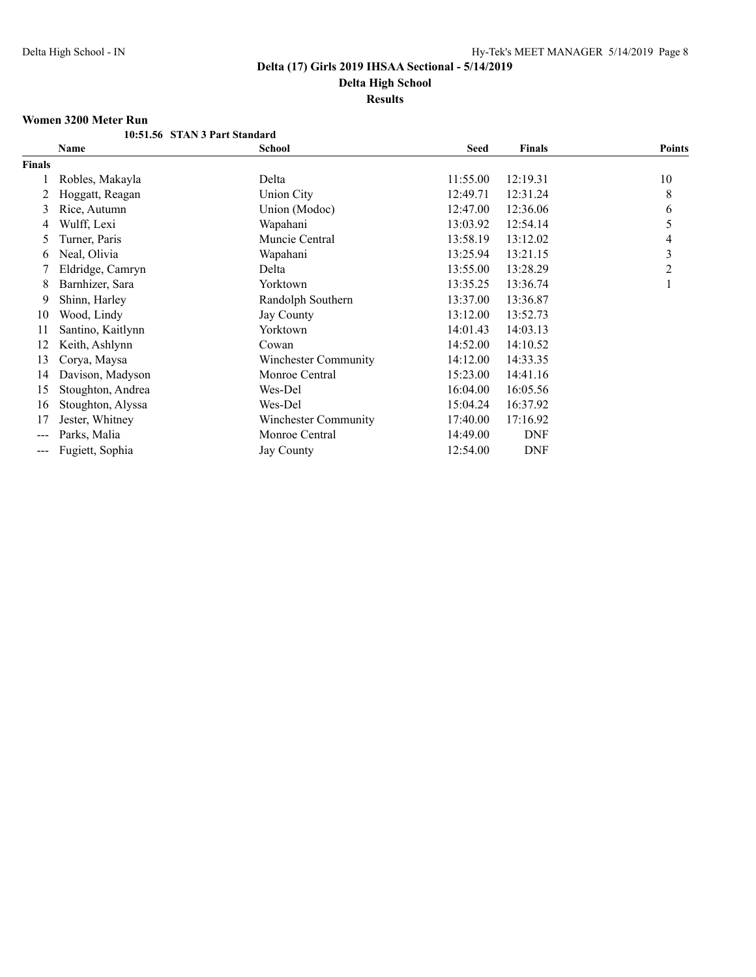**Results**

#### **Women 3200 Meter Run**

|               | 10:51.56 STAN 3 Part Standard |                      |             |            |               |
|---------------|-------------------------------|----------------------|-------------|------------|---------------|
|               | Name                          | <b>School</b>        | <b>Seed</b> | Finals     | <b>Points</b> |
| Finals        |                               |                      |             |            |               |
|               | Robles, Makayla               | Delta                | 11:55.00    | 12:19.31   | 10            |
|               | Hoggatt, Reagan               | Union City           | 12:49.71    | 12:31.24   | 8             |
| 3             | Rice, Autumn                  | Union (Modoc)        | 12:47.00    | 12:36.06   | 6             |
| 4             | Wulff, Lexi                   | Wapahani             | 13:03.92    | 12:54.14   | 5             |
| 5             | Turner, Paris                 | Muncie Central       | 13:58.19    | 13:12.02   | 4             |
| 6             | Neal, Olivia                  | Wapahani             | 13:25.94    | 13:21.15   | 3             |
|               | Eldridge, Camryn              | Delta                | 13:55.00    | 13:28.29   | 2             |
| 8             | Barnhizer, Sara               | Yorktown             | 13:35.25    | 13:36.74   |               |
| 9             | Shinn, Harley                 | Randolph Southern    | 13:37.00    | 13:36.87   |               |
| 10            | Wood, Lindy                   | Jay County           | 13:12.00    | 13:52.73   |               |
| 11            | Santino, Kaitlynn             | Yorktown             | 14:01.43    | 14:03.13   |               |
| 12            | Keith, Ashlynn                | Cowan                | 14:52.00    | 14:10.52   |               |
| 13            | Corya, Maysa                  | Winchester Community | 14:12.00    | 14:33.35   |               |
| 14            | Davison, Madyson              | Monroe Central       | 15:23.00    | 14:41.16   |               |
| 15            | Stoughton, Andrea             | Wes-Del              | 16:04.00    | 16:05.56   |               |
| 16            | Stoughton, Alyssa             | Wes-Del              | 15:04.24    | 16:37.92   |               |
| 17            | Jester, Whitney               | Winchester Community | 17:40.00    | 17:16.92   |               |
| $\frac{1}{2}$ | Parks, Malia                  | Monroe Central       | 14:49.00    | <b>DNF</b> |               |
| ---           | Fugiett, Sophia               | <b>Jay County</b>    | 12:54.00    | <b>DNF</b> |               |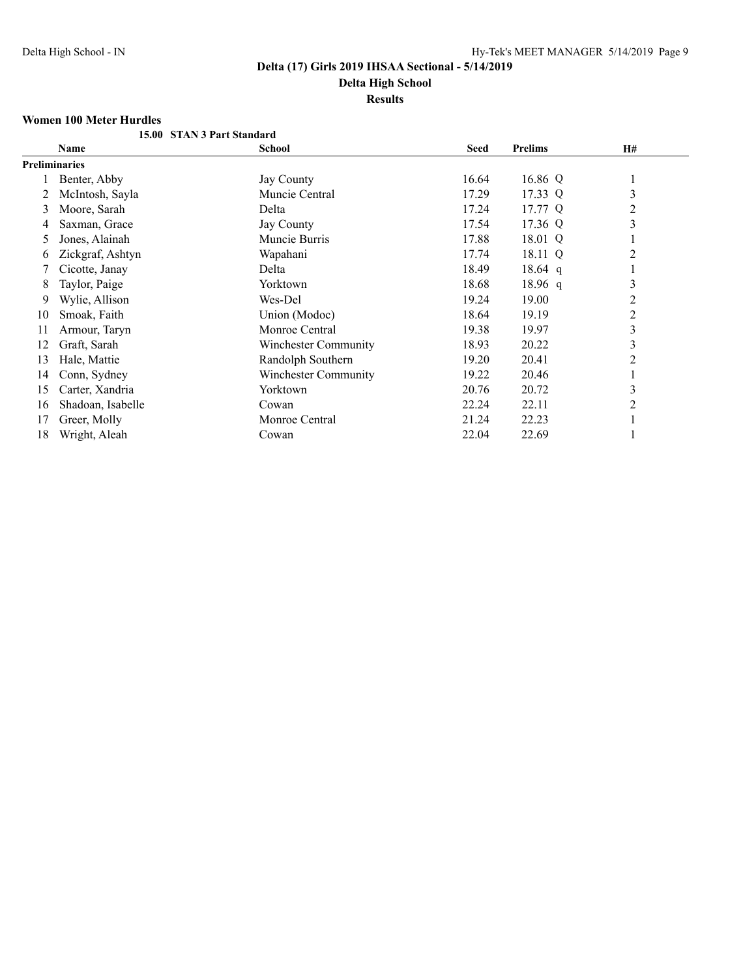# **Delta High School**

# **Results**

### **Women 100 Meter Hurdles**

|    | women too witter murdies |                             |             |           |                |  |
|----|--------------------------|-----------------------------|-------------|-----------|----------------|--|
|    |                          | 15.00 STAN 3 Part Standard  |             |           |                |  |
|    | <b>Name</b>              | <b>School</b>               | <b>Seed</b> | Prelims   | H#             |  |
|    | <b>Preliminaries</b>     |                             |             |           |                |  |
|    | Benter, Abby             | Jay County                  | 16.64       | 16.86 Q   | $\perp$        |  |
|    | McIntosh, Sayla          | Muncie Central              | 17.29       | 17.33 Q   | 3              |  |
| 3  | Moore, Sarah             | Delta                       | 17.24       | 17.77 Q   | 2              |  |
| 4  | Saxman, Grace            | Jay County                  | 17.54       | 17.36 Q   | 3              |  |
| 5  | Jones, Alainah           | Muncie Burris               | 17.88       | 18.01 Q   | -1             |  |
| 6  | Zickgraf, Ashtyn         | Wapahani                    | 17.74       | 18.11 Q   | $\overline{c}$ |  |
|    | Cicotte, Janay           | Delta                       | 18.49       | 18.64 q   |                |  |
| 8  | Taylor, Paige            | Yorktown                    | 18.68       | $18.96$ q | 3              |  |
| 9  | Wylie, Allison           | Wes-Del                     | 19.24       | 19.00     | 2              |  |
| 10 | Smoak, Faith             | Union (Modoc)               | 18.64       | 19.19     | $\overline{2}$ |  |
| 11 | Armour, Taryn            | Monroe Central              | 19.38       | 19.97     | $\mathfrak{Z}$ |  |
| 12 | Graft, Sarah             | <b>Winchester Community</b> | 18.93       | 20.22     | 3              |  |
| 13 | Hale, Mattie             | Randolph Southern           | 19.20       | 20.41     | 2              |  |
| 14 | Conn, Sydney             | Winchester Community        | 19.22       | 20.46     |                |  |
| 15 | Carter, Xandria          | Yorktown                    | 20.76       | 20.72     | 3              |  |
| 16 | Shadoan, Isabelle        | Cowan                       | 22.24       | 22.11     | 2              |  |
| 17 | Greer, Molly             | Monroe Central              | 21.24       | 22.23     | $\mathbf{I}$   |  |
| 18 | Wright, Aleah            | Cowan                       | 22.04       | 22.69     |                |  |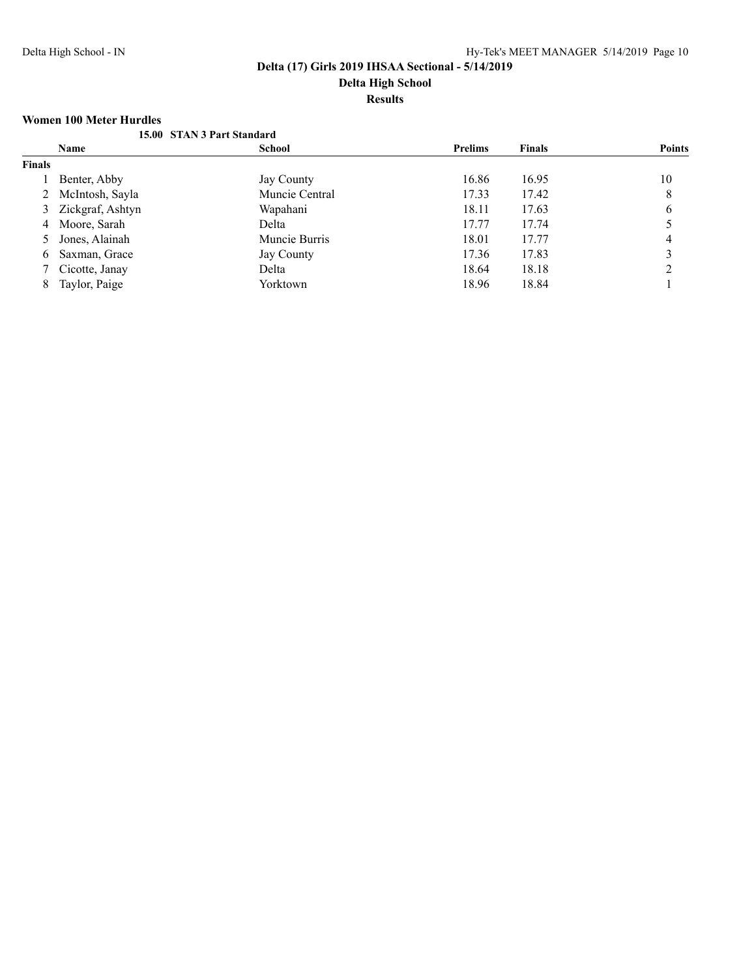#### **Results**

#### **Women 100 Meter Hurdles**

|               |                    | 15.00 STAN 3 Part Standard |                |               |               |
|---------------|--------------------|----------------------------|----------------|---------------|---------------|
|               | <b>Name</b>        | <b>School</b>              | <b>Prelims</b> | <b>Finals</b> | <b>Points</b> |
| <b>Finals</b> |                    |                            |                |               |               |
|               | Benter, Abby       | Jay County                 | 16.86          | 16.95         | 10            |
|               | 2 McIntosh, Sayla  | Muncie Central             | 17.33          | 17.42         | 8             |
|               | 3 Zickgraf, Ashtyn | Wapahani                   | 18.11          | 17.63         | 6             |
|               | 4 Moore, Sarah     | Delta                      | 17.77          | 17.74         |               |
|               | 5 Jones, Alainah   | Muncie Burris              | 18.01          | 17.77         | 4             |
| 6             | Saxman, Grace      | Jay County                 | 17.36          | 17.83         |               |
|               | 7 Cicotte, Janay   | Delta                      | 18.64          | 18.18         |               |
| 8             | Taylor, Paige      | Yorktown                   | 18.96          | 18.84         |               |
|               |                    |                            |                |               |               |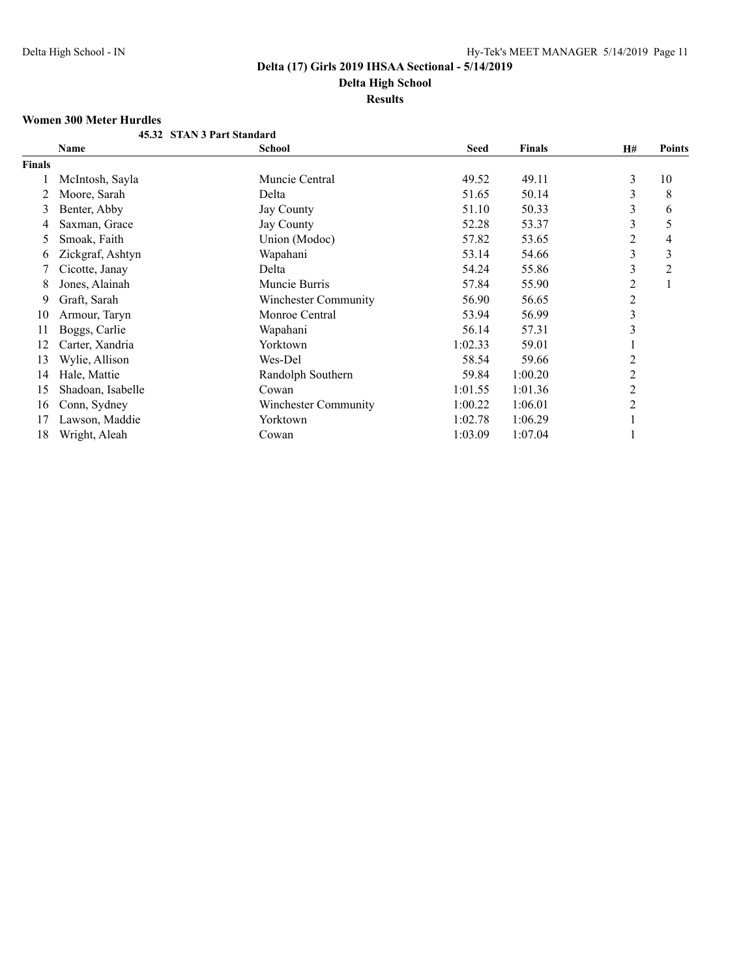# **Results**

## **Women 300 Meter Hurdles**

|               | 45.32 STAN 3 Part Standard |                      |             |               |                |                |
|---------------|----------------------------|----------------------|-------------|---------------|----------------|----------------|
|               | Name                       | <b>School</b>        | <b>Seed</b> | <b>Finals</b> | H#             | <b>Points</b>  |
| <b>Finals</b> |                            |                      |             |               |                |                |
|               | McIntosh, Sayla            | Muncie Central       | 49.52       | 49.11         | 3              | 10             |
| 2             | Moore, Sarah               | Delta                | 51.65       | 50.14         | 3              | 8              |
| 3             | Benter, Abby               | <b>Jay County</b>    | 51.10       | 50.33         | 3              | 6              |
| 4             | Saxman, Grace              | <b>Jay County</b>    | 52.28       | 53.37         | 3              | 5              |
| $\mathcal{L}$ | Smoak, Faith               | Union (Modoc)        | 57.82       | 53.65         | 2              | 4              |
| 6             | Zickgraf, Ashtyn           | Wapahani             | 53.14       | 54.66         | 3              | 3              |
|               | Cicotte, Janay             | Delta                | 54.24       | 55.86         | 3              | $\overline{c}$ |
| 8             | Jones, Alainah             | Muncie Burris        | 57.84       | 55.90         | 2              |                |
| 9             | Graft, Sarah               | Winchester Community | 56.90       | 56.65         | $\overline{2}$ |                |
| 10            | Armour, Taryn              | Monroe Central       | 53.94       | 56.99         | 3              |                |
| 11            | Boggs, Carlie              | Wapahani             | 56.14       | 57.31         | 3              |                |
| 12            | Carter, Xandria            | Yorktown             | 1:02.33     | 59.01         |                |                |
| 13            | Wylie, Allison             | Wes-Del              | 58.54       | 59.66         | 2              |                |
| 14            | Hale, Mattie               | Randolph Southern    | 59.84       | 1:00.20       | 2              |                |
| 15            | Shadoan, Isabelle          | Cowan                | 1:01.55     | 1:01.36       | 2              |                |
| 16            | Conn, Sydney               | Winchester Community | 1:00.22     | 1:06.01       | 2              |                |
| 17            | Lawson, Maddie             | Yorktown             | 1:02.78     | 1:06.29       |                |                |
| 18            | Wright, Aleah              | Cowan                | 1:03.09     | 1:07.04       |                |                |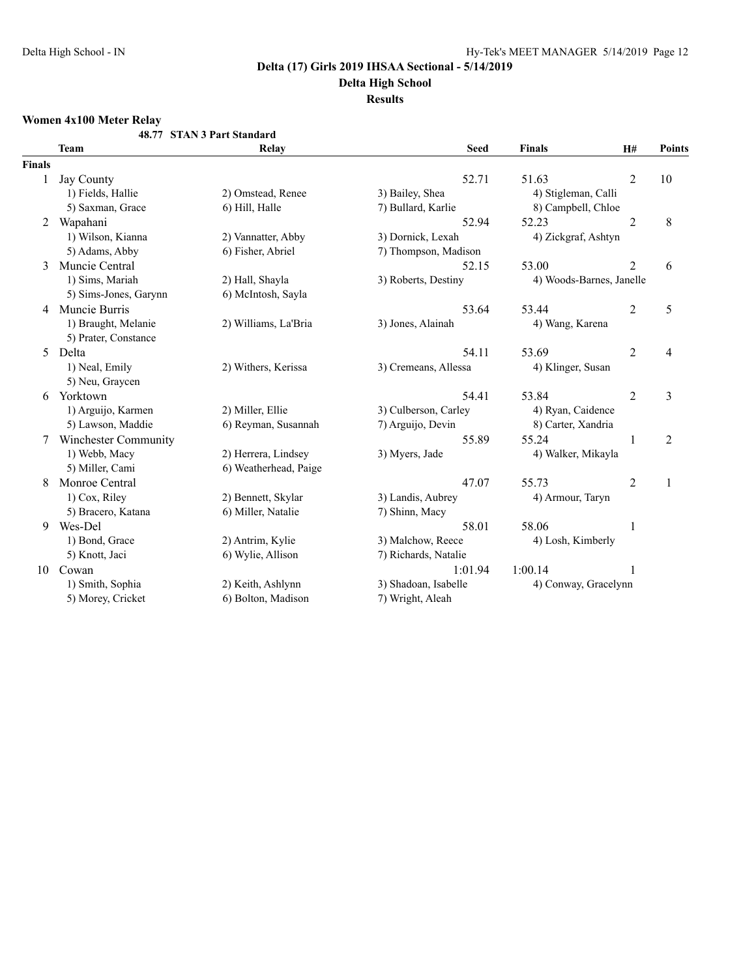# **Delta High School**

## **Results**

# **Women 4x100 Meter Relay**

|               |                             | 48.77 STAN 3 Part Standard |                      |                          |                |                         |
|---------------|-----------------------------|----------------------------|----------------------|--------------------------|----------------|-------------------------|
|               | <b>Team</b>                 | Relay                      | <b>Seed</b>          | Finals                   | H#             | <b>Points</b>           |
| <b>Finals</b> |                             |                            |                      |                          |                |                         |
| 1             | Jay County                  |                            | 52.71                | 51.63                    | $\overline{2}$ | 10                      |
|               | 1) Fields, Hallie           | 2) Omstead, Renee          | 3) Bailey, Shea      | 4) Stigleman, Calli      |                |                         |
|               | 5) Saxman, Grace            | 6) Hill, Halle             | 7) Bullard, Karlie   | 8) Campbell, Chloe       |                |                         |
| 2             | Wapahani                    |                            | 52.94                | 52.23                    | $\overline{2}$ | 8                       |
|               | 1) Wilson, Kianna           | 2) Vannatter, Abby         | 3) Dornick, Lexah    | 4) Zickgraf, Ashtyn      |                |                         |
|               | 5) Adams, Abby              | 6) Fisher, Abriel          | 7) Thompson, Madison |                          |                |                         |
| 3             | Muncie Central              |                            | 52.15                | 53.00                    | $\overline{2}$ | 6                       |
|               | 1) Sims, Mariah             | 2) Hall, Shayla            | 3) Roberts, Destiny  | 4) Woods-Barnes, Janelle |                |                         |
|               | 5) Sims-Jones, Garynn       | 6) McIntosh, Sayla         |                      |                          |                |                         |
| 4             | Muncie Burris               |                            | 53.64                | 53.44                    | $\overline{2}$ | 5                       |
|               | 1) Braught, Melanie         | 2) Williams, La'Bria       | 3) Jones, Alainah    | 4) Wang, Karena          |                |                         |
|               | 5) Prater, Constance        |                            |                      |                          |                |                         |
| 5             | Delta                       |                            | 54.11                | 53.69                    | $\overline{2}$ | 4                       |
|               | 1) Neal, Emily              | 2) Withers, Kerissa        | 3) Cremeans, Allessa | 4) Klinger, Susan        |                |                         |
|               | 5) Neu, Graycen             |                            |                      |                          |                |                         |
| 6             | Yorktown                    |                            | 54.41                | 53.84                    | $\overline{2}$ | $\overline{\mathbf{3}}$ |
|               | 1) Arguijo, Karmen          | 2) Miller, Ellie           | 3) Culberson, Carley | 4) Ryan, Caidence        |                |                         |
|               | 5) Lawson, Maddie           | 6) Reyman, Susannah        | 7) Arguijo, Devin    | 8) Carter, Xandria       |                |                         |
|               | <b>Winchester Community</b> |                            | 55.89                | 55.24                    | 1              | $\overline{2}$          |
|               | 1) Webb, Macy               | 2) Herrera, Lindsey        | 3) Myers, Jade       | 4) Walker, Mikayla       |                |                         |
|               | 5) Miller, Cami             | 6) Weatherhead, Paige      |                      |                          |                |                         |
| 8             | Monroe Central              |                            | 47.07                | 55.73                    | $\overline{2}$ | 1                       |
|               | 1) Cox, Riley               | 2) Bennett, Skylar         | 3) Landis, Aubrey    | 4) Armour, Taryn         |                |                         |
|               | 5) Bracero, Katana          | 6) Miller, Natalie         | 7) Shinn, Macy       |                          |                |                         |
| 9             | Wes-Del                     |                            | 58.01                | 58.06                    | $\mathbf{1}$   |                         |
|               | 1) Bond, Grace              | 2) Antrim, Kylie           | 3) Malchow, Reece    | 4) Losh, Kimberly        |                |                         |
|               | 5) Knott, Jaci              | 6) Wylie, Allison          | 7) Richards, Natalie |                          |                |                         |
| 10            | Cowan                       |                            | 1:01.94              | 1:00.14                  |                |                         |
|               | 1) Smith, Sophia            | 2) Keith, Ashlynn          | 3) Shadoan, Isabelle | 4) Conway, Gracelynn     |                |                         |
|               | 5) Morey, Cricket           | 6) Bolton, Madison         | 7) Wright, Aleah     |                          |                |                         |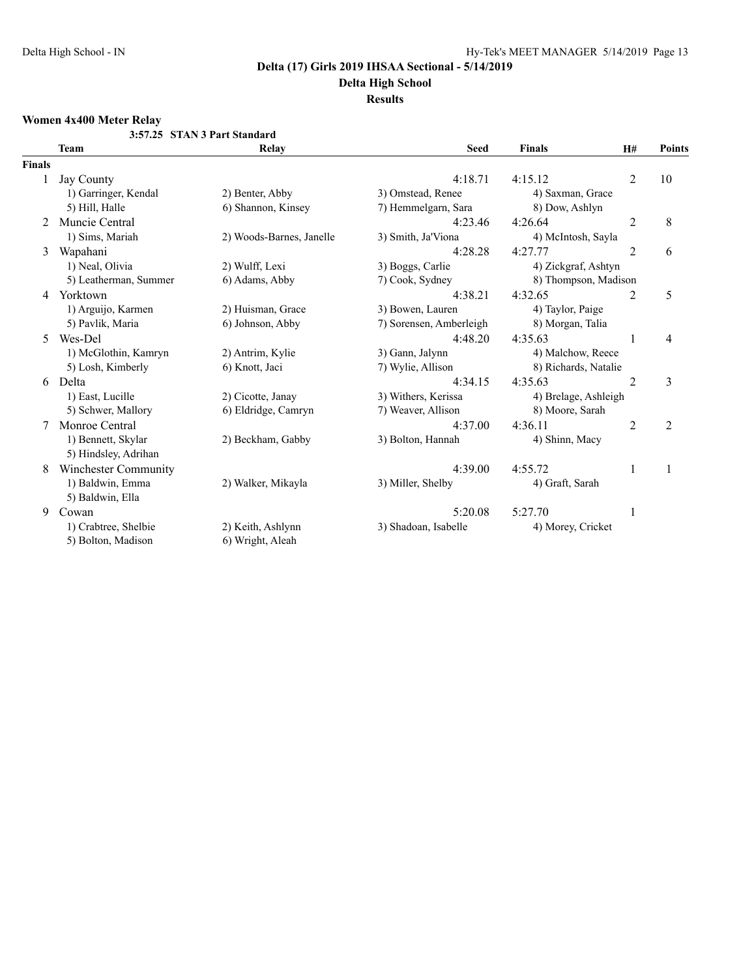# **Delta High School**

#### **Results**

# **Women 4x400 Meter Relay**

|        |                             | 3:57.25 STAN 3 Part Standard |                         |                      |                |                |
|--------|-----------------------------|------------------------------|-------------------------|----------------------|----------------|----------------|
|        | <b>Team</b>                 | Relay                        | <b>Seed</b>             | <b>Finals</b>        | H#             | <b>Points</b>  |
| Finals |                             |                              |                         |                      |                |                |
|        | Jay County                  |                              | 4:18.71                 | 4:15.12              | $\overline{2}$ | 10             |
|        | 1) Garringer, Kendal        | 2) Benter, Abby              | 3) Omstead, Renee       | 4) Saxman, Grace     |                |                |
|        | 5) Hill, Halle              | 6) Shannon, Kinsey           | 7) Hemmelgarn, Sara     | 8) Dow, Ashlyn       |                |                |
| 2      | Muncie Central              |                              | 4:23.46                 | 4:26.64              | 2              | 8              |
|        | 1) Sims, Mariah             | 2) Woods-Barnes, Janelle     | 3) Smith, Ja'Viona      | 4) McIntosh, Sayla   |                |                |
| 3      | Wapahani                    |                              | 4:28.28                 | 4:27.77              | $\overline{2}$ | 6              |
|        | 1) Neal, Olivia             | 2) Wulff, Lexi               | 3) Boggs, Carlie        | 4) Zickgraf, Ashtyn  |                |                |
|        | 5) Leatherman, Summer       | 6) Adams, Abby               | 7) Cook, Sydney         | 8) Thompson, Madison |                |                |
| 4      | Yorktown                    |                              | 4:38.21                 | 4:32.65              | 2              | 5              |
|        | 1) Arguijo, Karmen          | 2) Huisman, Grace            | 3) Bowen, Lauren        | 4) Taylor, Paige     |                |                |
|        | 5) Pavlik, Maria            | 6) Johnson, Abby             | 7) Sorensen, Amberleigh | 8) Morgan, Talia     |                |                |
| 5      | Wes-Del                     |                              | 4:48.20                 | 4:35.63              |                | 4              |
|        | 1) McGlothin, Kamryn        | 2) Antrim, Kylie             | 3) Gann, Jalynn         | 4) Malchow, Reece    |                |                |
|        | 5) Losh, Kimberly           | 6) Knott, Jaci               | 7) Wylie, Allison       | 8) Richards, Natalie |                |                |
| 6      | Delta                       |                              | 4:34.15                 | 4:35.63              | $\overline{2}$ | 3              |
|        | 1) East, Lucille            | 2) Cicotte, Janay            | 3) Withers, Kerissa     | 4) Brelage, Ashleigh |                |                |
|        | 5) Schwer, Mallory          | 6) Eldridge, Camryn          | 7) Weaver, Allison      | 8) Moore, Sarah      |                |                |
| 7      | Monroe Central              |                              | 4:37.00                 | 4:36.11              | $\overline{2}$ | $\overline{2}$ |
|        | 1) Bennett, Skylar          | 2) Beckham, Gabby            | 3) Bolton, Hannah       | 4) Shinn, Macy       |                |                |
|        | 5) Hindsley, Adrihan        |                              |                         |                      |                |                |
| 8      | <b>Winchester Community</b> |                              | 4:39.00                 | 4:55.72              | 1              |                |
|        | 1) Baldwin, Emma            | 2) Walker, Mikayla           | 3) Miller, Shelby       | 4) Graft, Sarah      |                |                |
|        | 5) Baldwin, Ella            |                              |                         |                      |                |                |
| 9      | Cowan                       |                              | 5:20.08                 | 5:27.70              | 1              |                |
|        | 1) Crabtree, Shelbie        | 2) Keith, Ashlynn            | 3) Shadoan, Isabelle    | 4) Morey, Cricket    |                |                |
|        | 5) Bolton, Madison          | 6) Wright, Aleah             |                         |                      |                |                |
|        |                             |                              |                         |                      |                |                |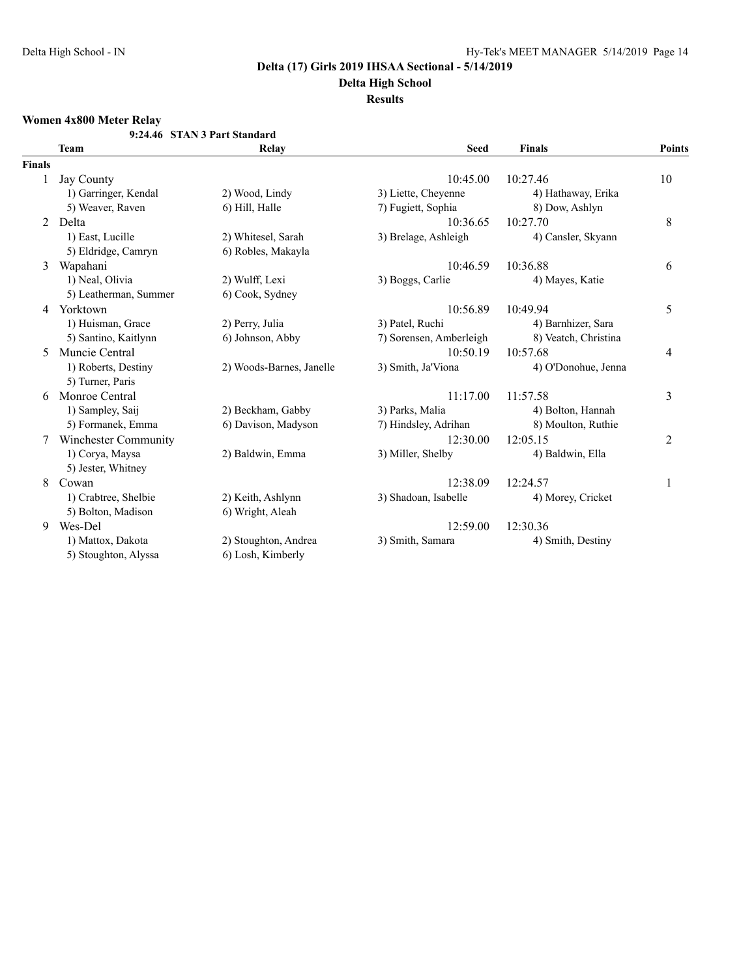# **Delta High School**

## **Results**

# **Women 4x800 Meter Relay**

|               |                       | 9:24.46 STAN 3 Part Standard |                         |                      |        |
|---------------|-----------------------|------------------------------|-------------------------|----------------------|--------|
|               | <b>Team</b>           | Relay                        | <b>Seed</b>             | <b>Finals</b>        | Points |
| <b>Finals</b> |                       |                              |                         |                      |        |
|               | <b>Jay County</b>     |                              | 10:45.00                | 10:27.46             | 10     |
|               | 1) Garringer, Kendal  | 2) Wood, Lindy               | 3) Liette, Cheyenne     | 4) Hathaway, Erika   |        |
|               | 5) Weaver, Raven      | 6) Hill, Halle               | 7) Fugiett, Sophia      | 8) Dow, Ashlyn       |        |
| 2             | Delta                 |                              | 10:36.65                | 10:27.70             | 8      |
|               | 1) East, Lucille      | 2) Whitesel, Sarah           | 3) Brelage, Ashleigh    | 4) Cansler, Skyann   |        |
|               | 5) Eldridge, Camryn   | 6) Robles, Makayla           |                         |                      |        |
| 3             | Wapahani              |                              | 10:46.59                | 10:36.88             | 6      |
|               | 1) Neal, Olivia       | 2) Wulff, Lexi               | 3) Boggs, Carlie        | 4) Mayes, Katie      |        |
|               | 5) Leatherman, Summer | 6) Cook, Sydney              |                         |                      |        |
| 4             | Yorktown              |                              | 10:56.89                | 10:49.94             | 5      |
|               | 1) Huisman, Grace     | 2) Perry, Julia              | 3) Patel, Ruchi         | 4) Barnhizer, Sara   |        |
|               | 5) Santino, Kaitlynn  | 6) Johnson, Abby             | 7) Sorensen, Amberleigh | 8) Veatch, Christina |        |
| 5             | Muncie Central        |                              | 10:50.19                | 10:57.68             | 4      |
|               | 1) Roberts, Destiny   | 2) Woods-Barnes, Janelle     | 3) Smith, Ja'Viona      | 4) O'Donohue, Jenna  |        |
|               | 5) Turner, Paris      |                              |                         |                      |        |
| 6             | Monroe Central        |                              | 11:17.00                | 11:57.58             | 3      |
|               | 1) Sampley, Saij      | 2) Beckham, Gabby            | 3) Parks, Malia         | 4) Bolton, Hannah    |        |
|               | 5) Formanek, Emma     | 6) Davison, Madyson          | 7) Hindsley, Adrihan    | 8) Moulton, Ruthie   |        |
| 7             | Winchester Community  |                              | 12:30.00                | 12:05.15             | 2      |
|               | 1) Corya, Maysa       | 2) Baldwin, Emma             | 3) Miller, Shelby       | 4) Baldwin, Ella     |        |
|               | 5) Jester, Whitney    |                              |                         |                      |        |
| 8             | Cowan                 |                              | 12:38.09                | 12:24.57             | 1      |
|               | 1) Crabtree, Shelbie  | 2) Keith, Ashlynn            | 3) Shadoan, Isabelle    | 4) Morey, Cricket    |        |
|               | 5) Bolton, Madison    | 6) Wright, Aleah             |                         |                      |        |
| 9             | Wes-Del               |                              | 12:59.00                | 12:30.36             |        |
|               | 1) Mattox, Dakota     | 2) Stoughton, Andrea         | 3) Smith, Samara        | 4) Smith, Destiny    |        |
|               | 5) Stoughton, Alyssa  | 6) Losh, Kimberly            |                         |                      |        |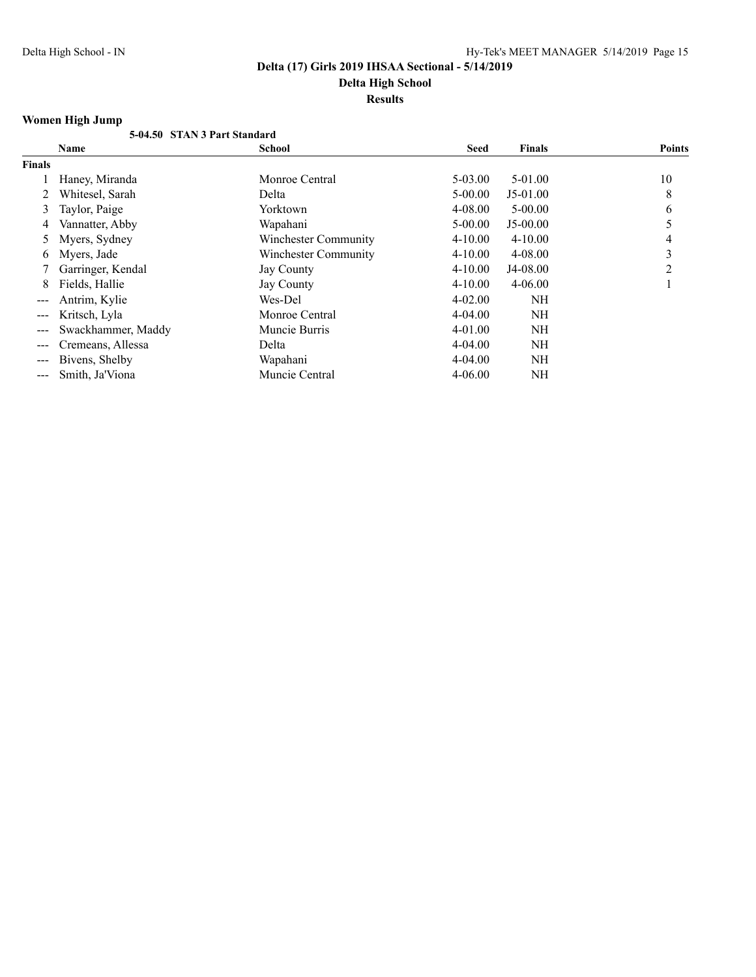**Results**

# **Women High Jump**

|        | 5-04.50 STAN 3 Part Standard |                             |             |               |               |
|--------|------------------------------|-----------------------------|-------------|---------------|---------------|
|        | Name                         | <b>School</b>               | <b>Seed</b> | <b>Finals</b> | <b>Points</b> |
| Finals |                              |                             |             |               |               |
|        | Haney, Miranda               | Monroe Central              | $5 - 03.00$ | $5-01.00$     | 10            |
|        | Whitesel, Sarah              | Delta                       | $5 - 00.00$ | $J5-01.00$    | 8             |
| 3      | Taylor, Paige                | Yorktown                    | 4-08.00     | $5 - 00.00$   | 6             |
| 4      | Vannatter, Abby              | Wapahani                    | $5 - 00.00$ | $J5-00.00$    | 5             |
| 5      | Myers, Sydney                | Winchester Community        | $4 - 10.00$ | $4 - 10.00$   | 4             |
| 6      | Myers, Jade                  | <b>Winchester Community</b> | $4 - 10.00$ | $4 - 08.00$   | 3             |
|        | Garringer, Kendal            | <b>Jay County</b>           | $4 - 10.00$ | J4-08.00      | 2             |
| 8      | Fields, Hallie               | <b>Jay County</b>           | $4 - 10.00$ | $4 - 06.00$   |               |
|        | Antrim, Kylie                | Wes-Del                     | $4 - 02.00$ | NH            |               |
|        | Kritsch, Lyla                | Monroe Central              | $4 - 04.00$ | NH            |               |
| ---    | Swackhammer, Maddy           | Muncie Burris               | 4-01.00     | NH            |               |
|        | Cremeans, Allessa            | Delta                       | $4 - 04.00$ | <b>NH</b>     |               |
|        | Bivens, Shelby               | Wapahani                    | $4 - 04.00$ | <b>NH</b>     |               |
|        | Smith, Ja'Viona              | Muncie Central              | $4 - 06.00$ | NΗ            |               |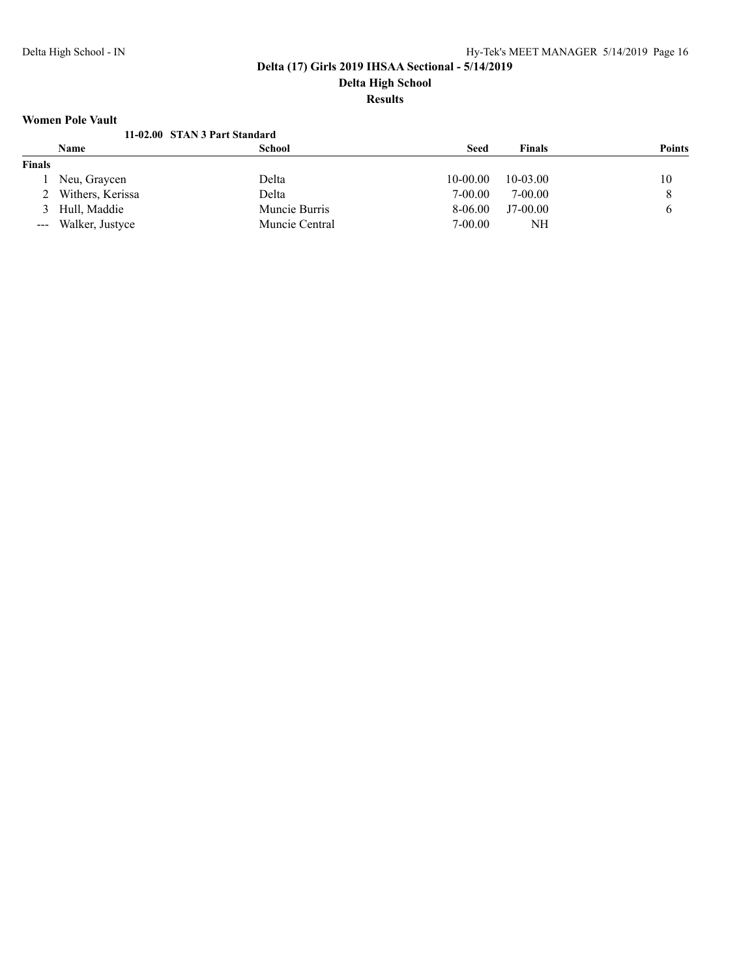## **Women Pole Vault**

|               | 11-02.00 STAN 3 Part Standard |                |             |               |               |
|---------------|-------------------------------|----------------|-------------|---------------|---------------|
|               | <b>Name</b>                   | School         | <b>Seed</b> | <b>Finals</b> | <b>Points</b> |
| <b>Finals</b> |                               |                |             |               |               |
|               | Neu, Graycen                  | Delta          | $10-00.00$  | $10 - 03.00$  | 10            |
|               | 2 Withers, Kerissa            | Delta          | $7-00.00$   | 7-00.00       | 8             |
|               | 3 Hull, Maddie                | Muncie Burris  | $8-06.00$   | $J7-00.00$    |               |
|               | --- Walker, Justyce           | Muncie Central | 7-00.00     | NΗ            |               |
|               |                               |                |             |               |               |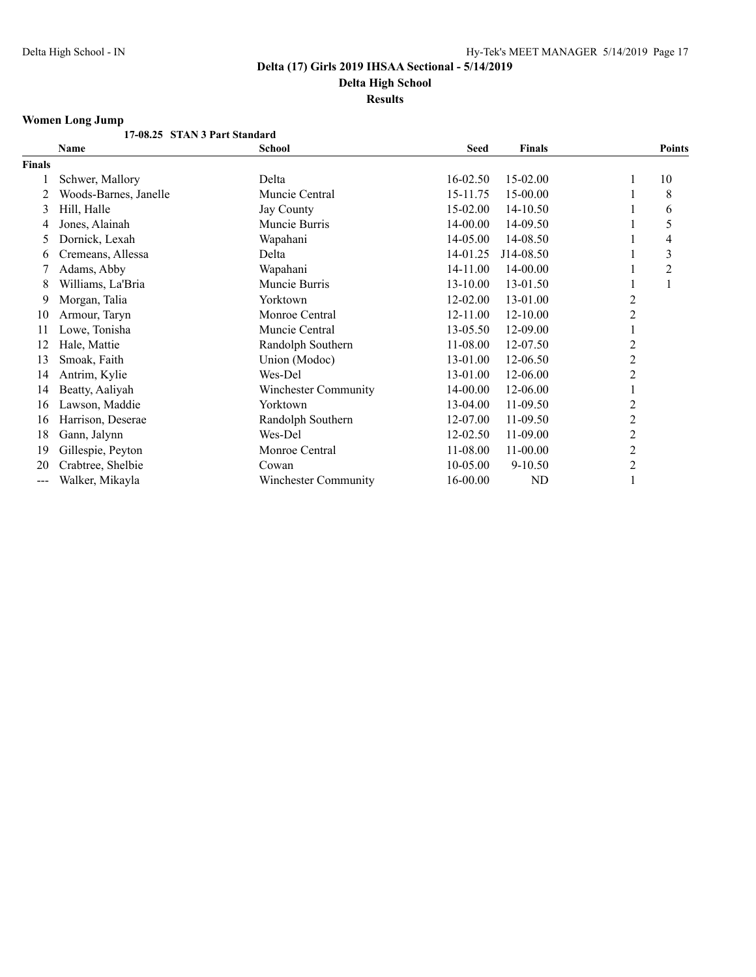**Delta High School Results**

# **Women Long Jump**

|        | 17-08.25 STAN 3 Part Standard |                             |              |               |                |                |
|--------|-------------------------------|-----------------------------|--------------|---------------|----------------|----------------|
|        | <b>Name</b>                   | School                      | <b>Seed</b>  | <b>Finals</b> |                | <b>Points</b>  |
| Finals |                               |                             |              |               |                |                |
|        | Schwer, Mallory               | Delta                       | $16 - 02.50$ | 15-02.00      |                | 10             |
| 2      | Woods-Barnes, Janelle         | Muncie Central              | 15-11.75     | 15-00.00      |                | 8              |
| 3      | Hill, Halle                   | Jay County                  | 15-02.00     | 14-10.50      |                | 6              |
| 4      | Jones, Alainah                | Muncie Burris               | 14-00.00     | 14-09.50      |                | 5              |
| 5      | Dornick, Lexah                | Wapahani                    | 14-05.00     | 14-08.50      |                | 4              |
| 6      | Cremeans, Allessa             | Delta                       | 14-01.25     | J14-08.50     |                | 3              |
|        | Adams, Abby                   | Wapahani                    | 14-11.00     | 14-00.00      |                | $\overline{2}$ |
| 8      | Williams, La'Bria             | Muncie Burris               | 13-10.00     | 13-01.50      |                |                |
| 9      | Morgan, Talia                 | Yorktown                    | 12-02.00     | 13-01.00      | $\overline{c}$ |                |
| 10     | Armour, Taryn                 | Monroe Central              | 12-11.00     | 12-10.00      | 2              |                |
| 11     | Lowe, Tonisha                 | Muncie Central              | 13-05.50     | 12-09.00      |                |                |
| 12     | Hale, Mattie                  | Randolph Southern           | 11-08.00     | 12-07.50      | 2              |                |
| 13     | Smoak, Faith                  | Union (Modoc)               | 13-01.00     | 12-06.50      | $\overline{c}$ |                |
| 14     | Antrim, Kylie                 | Wes-Del                     | 13-01.00     | 12-06.00      | 2              |                |
| 14     | Beatty, Aaliyah               | <b>Winchester Community</b> | 14-00.00     | 12-06.00      |                |                |
| 16     | Lawson, Maddie                | Yorktown                    | 13-04.00     | 11-09.50      | 2              |                |
| 16     | Harrison, Deserae             | Randolph Southern           | 12-07.00     | 11-09.50      | 2              |                |
| 18     | Gann, Jalynn                  | Wes-Del                     | 12-02.50     | 11-09.00      | 2              |                |
| 19     | Gillespie, Peyton             | Monroe Central              | 11-08.00     | 11-00.00      | 2              |                |
| 20     | Crabtree, Shelbie             | Cowan                       | 10-05.00     | $9 - 10.50$   | $\overline{c}$ |                |
| ---    | Walker, Mikayla               | Winchester Community        | 16-00.00     | ND            |                |                |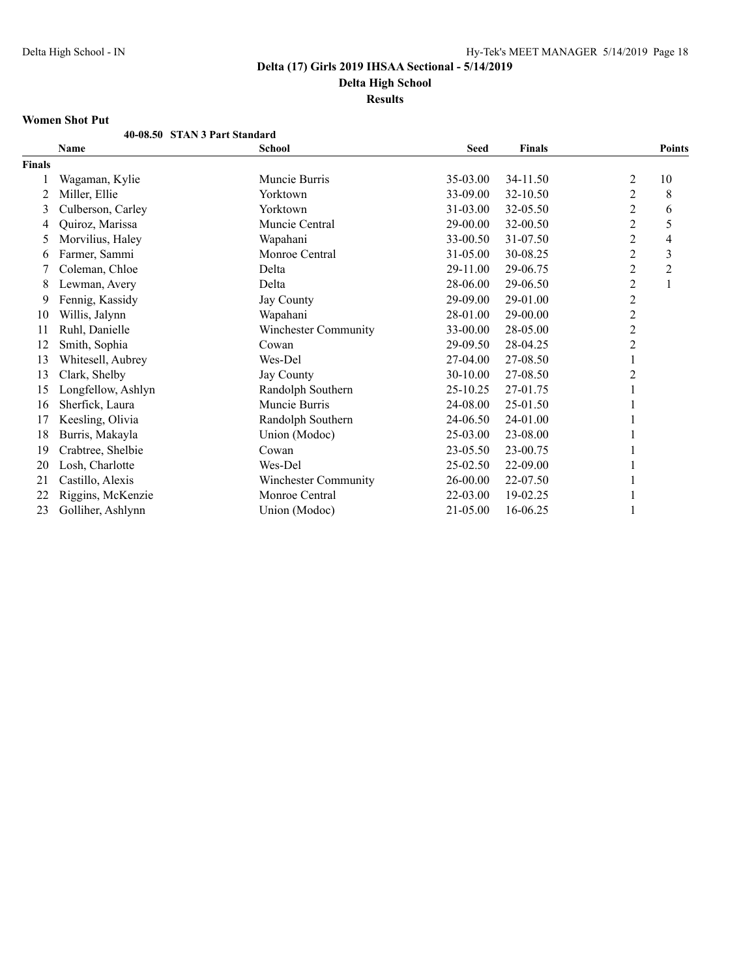**Results**

### **Women Shot Put**

|               | <b>WOMEN SHOL 1 UL</b>        |                      |             |               |                  |                  |
|---------------|-------------------------------|----------------------|-------------|---------------|------------------|------------------|
|               | 40-08.50 STAN 3 Part Standard |                      |             |               |                  |                  |
|               | Name                          | <b>School</b>        | <b>Seed</b> | <b>Finals</b> |                  | <b>Points</b>    |
| <b>Finals</b> |                               |                      |             |               |                  |                  |
|               | Wagaman, Kylie                | Muncie Burris        | 35-03.00    | 34-11.50      | $\overline{c}$   | 10               |
| 2             | Miller, Ellie                 | Yorktown             | 33-09.00    | 32-10.50      | $\overline{2}$   | 8                |
| 3             | Culberson, Carley             | Yorktown             | 31-03.00    | 32-05.50      | 2                | 6                |
| 4             | Quiroz, Marissa               | Muncie Central       | 29-00.00    | 32-00.50      | 2                | 5                |
| 5             | Morvilius, Haley              | Wapahani             | 33-00.50    | 31-07.50      | $\overline{c}$   | 4                |
| 6             | Farmer, Sammi                 | Monroe Central       | 31-05.00    | 30-08.25      | $\overline{2}$   | 3                |
|               | Coleman, Chloe                | Delta                | 29-11.00    | 29-06.75      | $\overline{c}$   | $\boldsymbol{2}$ |
| 8             | Lewman, Avery                 | Delta                | 28-06.00    | 29-06.50      | $\overline{2}$   | 1                |
| 9             | Fennig, Kassidy               | Jay County           | 29-09.00    | 29-01.00      | $\overline{2}$   |                  |
| 10            | Willis, Jalynn                | Wapahani             | 28-01.00    | 29-00.00      | $\boldsymbol{2}$ |                  |
| 11            | Ruhl, Danielle                | Winchester Community | 33-00.00    | 28-05.00      | $\overline{2}$   |                  |
| 12            | Smith, Sophia                 | Cowan                | 29-09.50    | 28-04.25      | $\overline{c}$   |                  |
| 13            | Whitesell, Aubrey             | Wes-Del              | 27-04.00    | 27-08.50      | 1                |                  |
| 13            | Clark, Shelby                 | Jay County           | 30-10.00    | 27-08.50      | $\boldsymbol{2}$ |                  |
| 15            | Longfellow, Ashlyn            | Randolph Southern    | 25-10.25    | 27-01.75      |                  |                  |
| 16            | Sherfick, Laura               | Muncie Burris        | 24-08.00    | 25-01.50      |                  |                  |
| 17            | Keesling, Olivia              | Randolph Southern    | 24-06.50    | 24-01.00      |                  |                  |
| 18            | Burris, Makayla               | Union (Modoc)        | 25-03.00    | 23-08.00      |                  |                  |
| 19            | Crabtree, Shelbie             | Cowan                | 23-05.50    | 23-00.75      |                  |                  |
| 20            | Losh, Charlotte               | Wes-Del              | 25-02.50    | 22-09.00      |                  |                  |
| 21            | Castillo, Alexis              | Winchester Community | 26-00.00    | 22-07.50      |                  |                  |
| 22            | Riggins, McKenzie             | Monroe Central       | 22-03.00    | 19-02.25      |                  |                  |
| 23            | Golliher, Ashlynn             | Union (Modoc)        | 21-05.00    | 16-06.25      |                  |                  |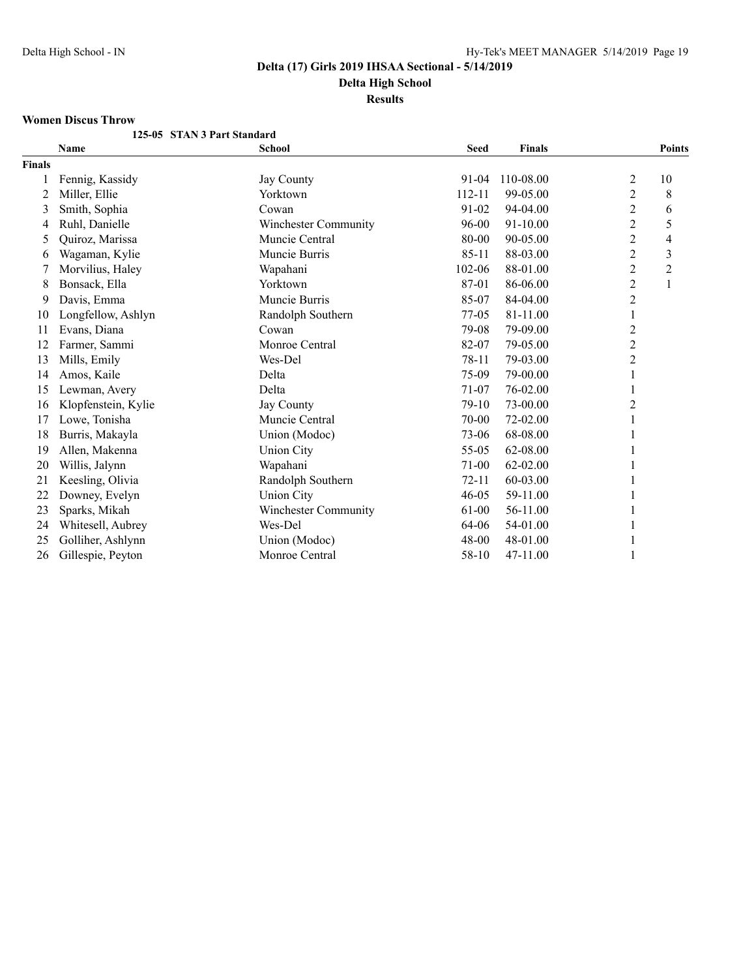**Results**

#### **Women Discus Throw**

|               | 125-05 STAN 3 Part Standard |                             |             |               |                         |                         |
|---------------|-----------------------------|-----------------------------|-------------|---------------|-------------------------|-------------------------|
|               | Name                        | <b>School</b>               | <b>Seed</b> | <b>Finals</b> |                         | <b>Points</b>           |
| <b>Finals</b> |                             |                             |             |               |                         |                         |
|               | Fennig, Kassidy             | Jay County                  | 91-04       | 110-08.00     | 2                       | 10                      |
| 2             | Miller, Ellie               | Yorktown                    | 112-11      | 99-05.00      | $\overline{\mathbf{c}}$ | 8                       |
| 3             | Smith, Sophia               | Cowan                       | 91-02       | 94-04.00      | $\overline{c}$          | 6                       |
| 4             | Ruhl, Danielle              | <b>Winchester Community</b> | 96-00       | 91-10.00      | $\overline{c}$          | 5                       |
| 5             | Quiroz, Marissa             | Muncie Central              | 80-00       | 90-05.00      | 2                       | 4                       |
| 6             | Wagaman, Kylie              | Muncie Burris               | 85-11       | 88-03.00      | $\overline{c}$          | $\overline{\mathbf{3}}$ |
|               | Morvilius, Haley            | Wapahani                    | 102-06      | 88-01.00      | $\overline{c}$          | $\overline{c}$          |
| 8             | Bonsack, Ella               | Yorktown                    | 87-01       | 86-06.00      | $\overline{c}$          | $\mathbf{1}$            |
| 9             | Davis, Emma                 | Muncie Burris               | 85-07       | 84-04.00      | 2                       |                         |
| 10            | Longfellow, Ashlyn          | Randolph Southern           | 77-05       | 81-11.00      | 1                       |                         |
| 11            | Evans, Diana                | Cowan                       | 79-08       | 79-09.00      | 2                       |                         |
| 12            | Farmer, Sammi               | Monroe Central              | 82-07       | 79-05.00      | $\overline{c}$          |                         |
| 13            | Mills, Emily                | Wes-Del                     | 78-11       | 79-03.00      | 2                       |                         |
| 14            | Amos, Kaile                 | Delta                       | 75-09       | 79-00.00      |                         |                         |
| 15            | Lewman, Avery               | Delta                       | 71-07       | 76-02.00      |                         |                         |
| 16            | Klopfenstein, Kylie         | Jay County                  | $79-10$     | 73-00.00      | 2                       |                         |
| 17            | Lowe, Tonisha               | Muncie Central              | 70-00       | 72-02.00      |                         |                         |
| 18            | Burris, Makayla             | Union (Modoc)               | 73-06       | 68-08.00      |                         |                         |
| 19            | Allen, Makenna              | <b>Union City</b>           | 55-05       | 62-08.00      |                         |                         |
| 20            | Willis, Jalynn              | Wapahani                    | 71-00       | 62-02.00      |                         |                         |
| 21            | Keesling, Olivia            | Randolph Southern           | $72 - 11$   | 60-03.00      |                         |                         |
| 22            | Downey, Evelyn              | <b>Union City</b>           | $46 - 05$   | 59-11.00      |                         |                         |
| 23            | Sparks, Mikah               | <b>Winchester Community</b> | 61-00       | 56-11.00      |                         |                         |
| 24            | Whitesell, Aubrey           | Wes-Del                     | 64-06       | 54-01.00      |                         |                         |
| 25            | Golliher, Ashlynn           | Union (Modoc)               | 48-00       | 48-01.00      |                         |                         |
| 26            | Gillespie, Peyton           | Monroe Central              | 58-10       | 47-11.00      |                         |                         |